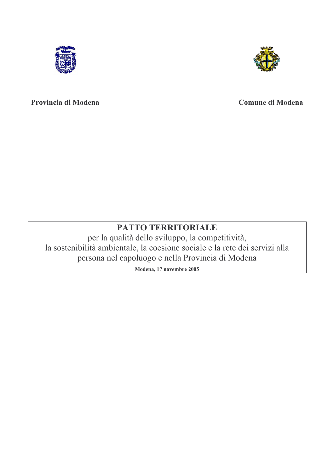



## Provincia di Modena

# **Comune di Modena**

# PATTO TERRITORIALE

per la qualità dello sviluppo, la competitività, la sostenibilità ambientale, la coesione sociale e la rete dei servizi alla persona nel capoluogo e nella Provincia di Modena

Modena, 17 novembre 2005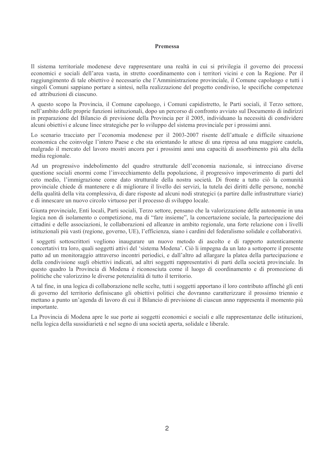#### Premessa

Il sistema territoriale modenese deve rappresentare una realtà in cui si privilegia il governo dei processi economici e sociali dell'area vasta, in stretto coordinamento con i territori vicini e con la Regione. Per il raggiungimento di tale obiettivo è necessario che l'Amministrazione provinciale, il Comune capoluogo e tutti i singoli Comuni sappiano portare a sintesi, nella realizzazione del progetto condiviso, le specifiche competenze ed attribuzioni di ciascuno.

A questo scopo la Provincia, il Comune capoluogo, i Comuni capidistretto, le Parti sociali, il Terzo settore, nell'ambito delle proprie funzioni istituzionali, dopo un percorso di confronto avviato sul Documento di indirizzi in preparazione del Bilancio di previsione della Provincia per il 2005, individuano la necessità di condividere alcuni obiettivi e alcune linee strategiche per lo sviluppo del sistema provinciale per i prossimi anni.

Lo scenario tracciato per l'economia modenese per il 2003-2007 risente dell'attuale e difficile situazione economica che coinvolge l'intero Paese e che sta orientando le attese di una ripresa ad una maggiore cautela, malgrado il mercato del lavoro mostri ancora per i prossimi anni una capacità di assorbimento più alta della media regionale.

Ad un progressivo indebolimento del quadro strutturale dell'economia nazionale, si intrecciano diverse questione sociali enormi come l'invecchiamento della popolazione, il progressivo impoverimento di parti del ceto medio, l'immigrazione come dato strutturale della nostra società. Di fronte a tutto ciò la comunità provinciale chiede di mantenere e di migliorare il livello dei servizi, la tutela dei diritti delle persone, nonché della qualità della vita complessiva, di dare risposte ad alcuni nodi strategici (a partire dalle infrastrutture viarie) e di innescare un nuovo circolo virtuoso per il processo di sviluppo locale.

Giunta provinciale. Enti locali, Parti sociali, Terzo settore, pensano che la valorizzazione delle autonomie in una logica non di isolamento o competizione, ma di "fare insieme", la concertazione sociale, la partecipazione dei cittadini e delle associazioni, le collaborazioni ed alleanze in ambito regionale, una forte relazione con i livelli istituzionali più vasti (regione, governo, UE), l'efficienza, siano i cardini del federalismo solidale e collaborativi.

I soggetti sottoscrittori vogliono inaugurare un nuovo metodo di ascolto e di rapporto autenticamente concertativi tra loro, quali soggetti attivi del 'sistema Modena'. Ciò li impegna da un lato a sottoporre il presente patto ad un monitoraggio attraverso incontri periodici, e dall'altro ad allargare la platea della partecipazione e della condivisione sugli obiettivi indicati, ad altri soggetti rappresentativi di parti della società provinciale. In questo quadro la Provincia di Modena è riconosciuta come il luogo di coordinamento e di promozione di politiche che valorizzino le diverse potenzialità di tutto il territorio.

A tal fine, in una logica di collaborazione nelle scelte, tutti i soggetti apportano il loro contributo affinché gli enti di governo del territorio definiscano gli obiettivi politici che dovranno caratterizzare il prossimo triennio e mettano a punto un'agenda di lavoro di cui il Bilancio di previsione di ciascun anno rappresenta il momento più importante.

La Provincia di Modena apre le sue porte ai soggetti economici e sociali e alle rappresentanze delle istituzioni, nella logica della sussidiarietà e nel segno di una società aperta, solidale e liberale.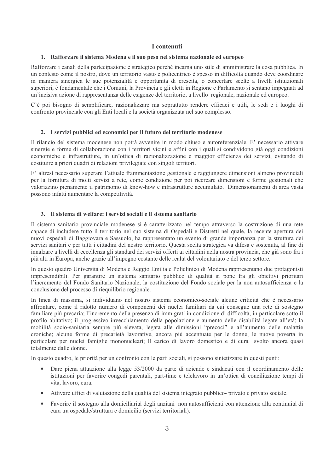#### I contenuti

### 1. Rafforzare il sistema Modena e il suo peso nel sistema nazionale ed europeo

Rafforzare i canali della partecipazione è strategico perché incarna uno stile di amministrare la cosa pubblica. In un contesto come il nostro, dove un territorio vasto e policentrico è spesso in difficoltà quando deve coordinare in maniera sinergica le sue potenzialità e opportunità di crescita, o concertare scelte a livelli istituzionali superiori, è fondamentale che i Comuni, la Provincia e gli eletti in Regione e Parlamento si sentano impegnati ad un'incisiva azione di rappresentanza delle esigenze del territorio, a livello regionale, nazionale ed europeo.

C'è poi bisogno di semplificare, razionalizzare ma soprattutto rendere efficaci e utili, le sedi e i luoghi di confronto provinciale con gli Enti locali e la società organizzata nel suo complesso.

#### 2. I servizi pubblici ed economici per il futuro del territorio modenese

Il rilancio del sistema modenese non potrà avvenire in modo chiuso e autoreferenziale. E' necessario attivare sinergie e forme di collaborazione con i territori vicini e affini con i quali si condividono già oggi condizioni economiche e infrastrutture, in un'ottica di razionalizzazione e maggior efficienza dei servizi, evitando di costituire a priori quadri di relazioni privilegiate con singoli territori.

E' altresì necessario superare l'attuale frammentazione gestionale e raggiungere dimensioni almeno provinciali per la fornitura di molti servizi a rete, come condizione per poi ricercare dimensioni e forme gestionali che valorizzino pienamente il patrimonio di know-how e infrastrutture accumulato. Dimensionamenti di area vasta possono infatti aumentare la competitività.

#### 3. Il sistema di welfare: i servizi sociali e il sistema sanitario

Il sistema sanitario provinciale modenese si è caratterizzato nel tempo attraverso la costruzione di una rete capace di includere tutto il territorio nel suo sistema di Ospedali e Distretti nel quale, la recente apertura dei nuovi ospedali di Baggiovara e Sassuolo, ha rappresentato un evento di grande importanza per la struttura dei servizi sanitari e per tutti i cittadini del nostro territorio. Questa scelta strategica va difesa e sostenuta, al fine di innalzare a livelli di eccellenza gli standard dei servizi offerti ai cittadini nella nostra provincia, che già sono fra i più alti in Europa, anche grazie all'impegno costante delle realtà del volontariato e del terzo settore.

In questo quadro Università di Modena e Reggio Emilia e Policlinico di Modena rappresentano due protagonisti imprescindibili. Per garantire un sistema sanitario pubblico di qualità si pone fra gli obiettivi prioritari l'incremento del Fondo Sanitario Nazionale, la costituzione del Fondo sociale per la non autosufficienza e la conclusione del processo di riequilibrio regionale.

In linea di massima, si individuano nel nostro sistema economico-sociale alcune criticità che è necessario affrontare, come il ridotto numero di componenti dei nuclei familiari da cui consegue una rete di sostegno familiare più precaria; l'incremento della presenza di immigrati in condizione di difficoltà, in particolare sotto il profilo abitativo; il progressivo invecchiamento della popolazione e aumento delle disabilità legate all'età; la mobilità socio-sanitaria sempre più elevata, legata alle dimissioni "precoci" e all'aumento delle malattie croniche; alcune forme di precarietà lavorative, ancora più accentuate per le donne; le nuove povertà in particolare per nuclei famiglie mononucleari: Il carico di lavoro domestico e di cura svolto ancora quasi totalmente dalle donne.

In questo quadro, le priorità per un confronto con le parti sociali, si possono sintetizzare in questi punti:

- Dare piena attuazione alla legge 53/2000 da parte di aziende e sindacati con il coordinamento delle istituzioni per favorire congedi parentali, part-time e telelavoro in un'ottica di conciliazione tempi di vita, lavoro, cura.
- Attivare uffici di valutazione della qualità del sistema integrato pubblico- privato e privato sociale.
- Favorire il sostegno alla domiciliarità degli anziani non autosufficienti con attenzione alla continuità di cura tra ospedale/struttura e domicilio (servizi territoriali).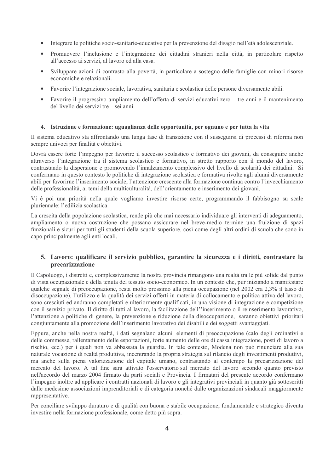- Integrare le politiche socio-sanitarie-educative per la prevenzione del disagio nell'età adolescenziale.
- Promuovere l'inclusione e l'integrazione dei cittadini stranieri nella città, in particolare rispetto all'accesso ai servizi, al lavoro ed alla casa.
- Sviluppare azioni di contrasto alla povertà, in particolare a sostegno delle famiglie con minori risorse economiche e relazionali.
- Favorire l'integrazione sociale, lavorativa, sanitaria e scolastica delle persone diversamente abili.
- Favorire il progressivo ampliamento dell'offerta di servizi educativi zero tre anni e il mantenimento del livello dei servizi tre – sei anni.

#### 4. Istruzione e formazione: uguaglianza delle opportunità, per ognuno e per tutta la vita

Il sistema educativo sta affrontando una lunga fase di transizione con il susseguirsi di processi di riforma non sempre univoci per finalità e obiettivi.

Dovrà essere forte l'impegno per favorire il successo scolastico e formativo dei giovani, da conseguire anche attraverso l'integrazione tra il sistema scolastico e formativo, in stretto rapporto con il mondo del lavoro, contrastando la dispersione e promovendo l'innalzamento complessivo del livello di scolarità dei cittadini. Si confermano in questo contesto le politiche di integrazione scolastica e formativa rivolte agli alunni diversamente abili per favorirne l'inserimento sociale, l'attenzione crescente alla formazione continua contro l'invecchiamento delle professionalità, ai temi della multiculturalità, dell'orientamento e inserimento dei giovani.

Vi è poi una priorità nella quale vogliamo investire risorse certe, programmando il fabbisogno su scale pluriennale: l'edilizia scolastica.

La crescita della popolazione scolastica, rende più che mai necessario individuare gli interventi di adeguamento, ampliamento o nuova costruzione che possano assicurare nel breve-medio termine una fruizione di spazi funzionali e sicuri per tutti gli studenti della scuola superiore, così come degli altri ordini di scuola che sono in capo principalmente agli enti locali.

### 5. Lavoro: qualificare il servizio pubblico, garantire la sicurezza e i diritti, contrastare la precarizzazione

Il Capoluogo, i distretti e, complessivamente la nostra provincia rimangono una realtà tra le più solide dal punto di vista occupazionale e della tenuta del tessuto socio-economico. In un contesto che, pur iniziando a manifestare qualche segnale di preoccupazione, resta molto prossimo alla piena occupazione (nel 2002 era 2,3% il tasso di disoccupazione), l'utilizzo e la qualità dei servizi offerti in materia di collocamento e politica attiva del lavoro, sono cresciuti ed andranno completati e ulteriormente qualificati, in una visione di integrazione e competizione con il servizio privato. Il diritto di tutti al lavoro, la facilitazione dell''inserimento o il reinserimento lavorativo, l'attenzione a politiche di genere, la prevenzione e riduzione della disoccupazione, saranno obiettivi prioritari congiuntamente alla promozione dell'inserimento lavorativo dei disabili e dei soggetti svantaggiati.

Eppure, anche nella nostra realtà, i dati segnalano alcuni elementi di preoccupazione (calo degli ordinativi e delle commesse, rallentamento delle esportazioni, forte aumento delle ore di cassa integrazione, posti di lavoro a rischio, ecc.) per i quali non va abbassata la guardia. In tale contesto, Modena non può rinunciare alla sua naturale vocazione di realtà produttiva, incentrando la propria strategia sul rilancio degli investimenti produttivi, ma anche sulla piena valorizzazione del capitale umano, contrastando al contempo la precarizzazione del mercato del lavoro. A tal fine sarà attivato l'osservatorio sul mercato del lavoro secondo quanto previsto nell'accordo del marzo 2004 firmato da parti sociali e Provincia. I firmatari del presente accordo confermano l'impegno inoltre ad applicare i contratti nazionali di lavoro e gli integrativi provinciali in quanto già sottoscritti dalle medesime associazioni imprenditoriali e di categoria nonché dalle organizzazioni sindacali maggiormente rappresentative.

Per conciliare sviluppo duraturo e di qualità con buona e stabile occupazione, fondamentale e strategico diventa investire nella formazione professionale, come detto più sopra.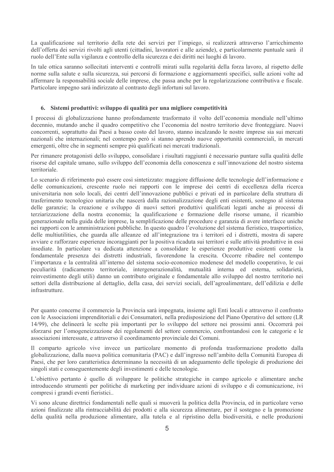La qualificazione sul territorio della rete dei servizi per l'impiego, si realizzerà attraverso l'arricchimento dell'offerta dei servizi rivolti agli utenti (cittadini, lavoratori e alle aziende), e particolarmente puntuale sarà il ruolo dell'Ente sulla vigilanza e controllo della sicurezza e dei diritti nei luoghi di lavoro.

In tale ottica saranno sollecitati interventi e controlli mirati sulla regolarità della forza lavoro, al rispetto delle norme sulla salute e sulla sicurezza, sui percorsi di formazione e aggiornamenti specifici, sulle azioni volte ad affermare la responsabilità sociale delle imprese, che passa anche per la regolarizzazione contributiva e fiscale. Particolare impegno sarà indirizzato al contrasto degli infortuni sul lavoro.

#### 6. Sistemi produttivi: sviluppo di qualità per una migliore competitività

I processi di globalizzazione hanno profondamente trasformato il volto dell'economia mondiale nell'ultimo decennio, mutando anche il quadro competitivo che l'economia del nostro territorio deve fronteggiare. Nuovi concorrenti, soprattutto dai Paesi a basso costo del lavoro, stanno incalzando le nostre imprese sia sui mercati nazionali che internazionali: nel contempo però si stanno aprendo nuove opportunità commerciali, in mercati emergenti, oltre che in segmenti sempre più qualificati nei mercati tradizionali.

Per rimanere protagonisti dello sviluppo, consolidare i risultati raggiunti è necessario puntare sulla qualità delle risorse del capitale umano, sullo sviluppo dell'economia della conoscenza e sull'innovazione del nostro sistema territoriale.

Lo scenario di riferimento può essere così sintetizzato: maggiore diffusione delle tecnologie dell'informazione e delle comunicazioni, crescente ruolo nei rapporti con le imprese dei centri di eccellenza della ricerca universitaria non solo locali, dei centri dell'innovazione pubblici e privati ed in particolare della struttura di trasferimento tecnologico unitaria che nascerà dalla razionalizzazione degli enti esistenti, sostegno al sistema delle garanzie; la creazione e sviluppo di nuovi settori produttivi qualificati legati anche ai processi di terziarizzazione della nostra economia; la qualificazione e formazione delle risorse umane, il ricambio generazionale nella guida delle imprese, la semplificazione delle procedure e garanzia di avere interfacce uniche nei rapporti con le amministrazioni pubbliche. In questo quadro l'evoluzione del sistema fieristico, trasportistico, delle multiutilities, che guarda alle alleanze ed all'integrazione tra i territori ed i distretti, mostra di sapere avviare e rafforzare esperienze incoraggianti per la positiva ricaduta sui territori e sulle attività produttive in essi insediate. In particolare va dedicata attenzione a consolidare le esperienze produttive esistenti come la fondamentale presenza dei distretti industriali, favorendone la crescita. Occorre ribadire nel contempo l'importanza e la centralità all'interno del sistema socio-economico modenese del modello cooperativo, le cui peculiarità (radicamento territoriale, intergenerazionalità, mutualità interna ed esterna, solidarietà, reinvestimento degli utili) danno un contributo originale e fondamentale allo sviluppo del nostro territorio nei settori della distribuzione al dettaglio, della casa, dei servizi sociali, dell'agroalimentare, dell'edilizia e delle infrastrutture

Per quanto concerne il commercio la Provincia sarà impegnata, insieme agli Enti locali e attraverso il confronto con le Associazioni imprenditoriali e dei Consumatori, nella predisposizione del Piano Operativo del settore (LR 14/99), che delineerà le scelte più importanti per lo sviluppo del settore nei prossimi anni. Occorrerà poi sforzarsi per l'omogeneizzazione dei regolamenti del settore commercio, confrontandosi con le categorie e le associazioni interessate, e attraverso il coordinamento provinciale dei Comuni.

Il comparto agricolo vive invece un particolare momento di profonda trasformazione prodotto dalla globalizzazione, dalla nuova politica comunitaria (PAC) e dall'ingresso nell'ambito della Comunità Europea di Paesi, che per loro caratteristica determinano la necessità di un adeguamento delle tipologie di produzione dei singoli stati e conseguentemente degli investimenti e delle tecnologie.

L'obiettivo pertanto è quello di sviluppare le politiche strategiche in campo agricolo e alimentare anche introducendo strumenti per politiche di marketing per individuare azioni di sviluppo e di comunicazione, ivi compresi i grandi eventi fieristici...

Vi sono alcune direttrici fondamentali nelle quali si muoverà la politica della Provincia, ed in particolare verso azioni finalizzate alla rintracciabilità dei prodotti e alla sicurezza alimentare, per il sostegno e la promozione della qualità nella produzione alimentare, alla tutela e al ripristino della biodiversità, e nelle produzioni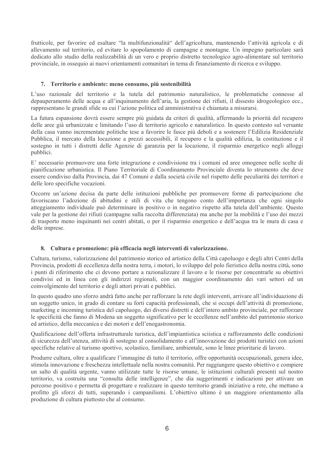frutticole, per favorire ed esaltare "la multifunzionalità" dell'agricoltura, mantenendo l'attività agricola e di allevamento sul territorio, ed evitare lo spopolamento di campagne e montagne. Un impegno particolare sarà dedicato allo studio della realizzabilità di un vero e proprio distretto tecnologico agro-alimentare sul territorio provinciale, in ossequio ai nuovi orientamenti comunitari in tema di finanziamento di ricerca e sviluppo.

#### 7. Territorio e ambiente: meno consumo, più sostenibilità

L'uso razionale del territorio e la tutela del patrimonio naturalistico, le problematiche connesse al depauperamento delle acqua e all'inquinamento dell'aria, la gestione dei rifiuti, il dissesto idrogeologico ecc. rappresentano le grandi sfide su cui l'azione politica ed amministrativa è chiamata a misurarsi.

La futura espansione dovrà essere sempre più guidata da criteri di qualità, affermando la priorità del recupero delle aree già urbanizzate e limitando l'uso di territorio agricolo e naturalistico. In questo contesto sul versante della casa vanno incrementate politiche tese a favorire le fasce più deboli e a sostenere l'Edilizia Residenziale Pubblica, il mercato della locazione a prezzi accessibili, il recupero e la qualità edilizia, la costituzione e il sostegno in tutti i distretti delle Agenzie di garanzia per la locazione, il risparmio energetico negli alloggi pubblici.

E' necessario promuovere una forte integrazione e condivisione tra i comuni ed aree omogenee nelle scelte di pianificazione urbanistica. Il Piano Territoriale di Coordinamento Provinciale diventa lo strumento che deve essere condiviso dalla Provincia, dai 47 Comuni e dalla società civile nel rispetto delle peculiarità dei territori e delle loro specifiche vocazioni.

Occorre un'azione decisa da parte delle istituzioni pubbliche per promuovere forme di partecipazione che favoriscano l'adozione di abitudini e stili di vita che tengono conto dell'importanza che ogni singolo atteggiamento individuale può determinare in positivo o in negativo rispetto alla tutela dell'ambiente. Questo vale per la gestione dei rifiuti (campagne sulla raccolta differenziata) ma anche per la mobilità e l'uso dei mezzi di trasporto meno inquinanti nei centri abitati, o per il risparmio energetico e dell'acqua tra le mura di casa e delle imprese.

#### 8. Cultura e promozione: più efficacia negli interventi di valorizzazione.

Cultura, turismo, valorizzazione del patrimonio storico ed artistico della Città capoluogo e degli altri Centri della Provincia, prodotti di eccellenza della nostra terra, i motori, lo sviluppo del polo fieristico della nostra città, sono i punti di riferimento che ci devono portare a razionalizzare il lavoro e le risorse per concentrarle su obiettivi condivisi ed in linea con gli indirizzi regionali, con un maggior coordinamento dei vari settori ed un coinvolgimento del territorio e degli attori privati e pubblici.

In questo quadro uno sforzo andrà fatto anche per rafforzare la rete degli interventi, arrivare all'individuazione di un soggetto unico, in grado di contare su forti capacità professionali, che si occupi dell'attività di promozione, marketing e incoming turistica del capoluogo, dei diversi distretti e dell'intero ambito provinciale, per rafforzare le specificità che fanno di Modena un soggetto significativo per le eccellenze nell'ambito del patrimonio storico ed artistico, della meccanica e dei motori e dell'enogastronomia.

Qualificazione dell'offerta infrastrutturale turistica, dell'impiantistica sciistica e rafforzamento delle condizioni di sicurezza dell'utenza, attività di sostegno al consolidamento e all'innovazione dei prodotti turistici con azioni specifiche relative al turismo sportivo, scolastico, familiare, ambientale, sono le linee prioritarie di lavoro.

Produrre cultura, oltre a qualificare l'immagine di tutto il territorio, offre opportunità occupazionali, genera idee, stimola innovazione e freschezza intellettuale nella nostra comunità. Per raggiungere questo obiettivo e compiere un salto di qualità urgente, vanno utilizzate tutte le risorse umane, le istituzioni culturali presenti sul nostro territorio, va costruita una "consulta delle intelligenze", che dia suggerimenti e indicazioni per attivare un percorso positivo e permetta di progettare e realizzare in questo territorio grandi iniziative a rete, che mettano a profitto gli sforzi di tutti, superando i campanilismi. L'obiettivo ultimo è un maggiore orientamento alla produzione di cultura piuttosto che al consumo.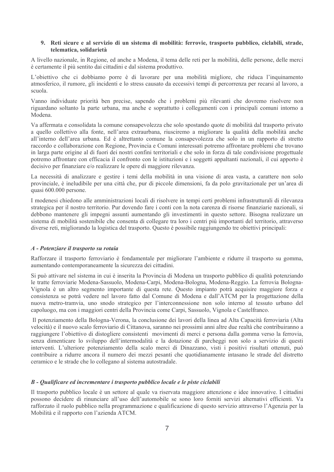#### 9. Reti sicure e al servizio di un sistema di mobilità: ferrovie, trasporto pubblico, ciclabili, strade, telematica, solidarietà

A livello nazionale, in Regione, ed anche a Modena, il tema delle reti per la mobilità, delle persone, delle merci è certamente il più sentito dai cittadini e dal sistema produttivo.

L'obiettivo che ci dobbiamo porre è di lavorare per una mobilità migliore, che riduca l'inquinamento atmosferico, il rumore, gli incidenti e lo stress causato da eccessivi tempi di percorrenza per recarsi al lavoro, a scuola.

Vanno individuate priorità ben precise, sapendo che i problemi più rilevanti che dovremo risolvere non riguardano soltanto la parte urbana, ma anche e soprattutto i collegamenti con i principali comuni intorno a Modena

Va affermata e consolidata la comune consapevolezza che solo spostando quote di mobilità dal trasporto privato a quello collettivo alla fonte, nell'area extraurbana, riusciremo a migliorare la qualità della mobilità anche all'interno dell'area urbana. Ed è altrettanto comune la consapevolezza che solo in un rapporto di stretto raccordo e collaborazione con Regione, Provincia e Comuni interessati potremo affrontare problemi che trovano in larga parte origine al di fuori dei nostri confini territoriali e che solo in forza di tale condivisione progettuale potremo affrontare con efficacia il confronto con le istituzioni e i soggetti appaltanti nazionali, il cui apporto è decisivo per finanziare e/o realizzare le opere di maggiore rilevanza.

La necessità di analizzare e gestire i temi della mobilità in una visione di area vasta, a carattere non solo provinciale, è ineludibile per una città che, pur di piccole dimensioni, fa da polo gravitazionale per un'area di quasi 600.000 persone.

I modenesi chiedono alle amministrazioni locali di risolvere in tempi certi problemi infrastrutturali di rilevanza strategica per il nostro territorio. Pur dovendo fare i conti con la nota carenza di risorse finanziarie nazionali, si debbono mantenere gli impegni assunti aumentando gli investimenti in questo settore. Bisogna realizzare un sistema di mobilità sostenibile che consenta di collegare tra loro i centri più importanti del territorio, attraverso diverse reti, migliorando la logistica del trasporto. Questo è possibile raggiungendo tre obiettivi principali:

#### A - Potenziare il trasporto su rotaia

Rafforzare il trasporto ferroviario è fondamentale per migliorare l'ambiente e ridurre il trasporto su gomma, aumentando contemporaneamente la sicurezza dei cittadini.

Si può attivare nel sistema in cui è inserita la Provincia di Modena un trasporto pubblico di qualità potenziando le tratte ferroviarie Modena-Sassuolo, Modena-Carpi, Modena-Bologna, Modena-Reggio. La ferrovia Bologna-Vignola è un altro segmento importante di questa rete. Questo impianto potrà acquisire maggiore forza e consistenza se potrà vedere nel lavoro fatto dal Comune di Modena e dall'ATCM per la progettazione della nuova metro-tramvia, uno snodo strategico per l'interconnessione non solo interno al tessuto urbano del capoluogo, ma con i maggiori centri della Provincia come Carpi. Sassuolo, Vignola e Castelfranco.

Il potenziamento della Bologna-Verona, la conclusione dei lavori della linea ad Alta Capacità ferroviaria (Alta velocità) e il nuovo scalo ferroviario di Cittanova, saranno nei prossimi anni altre due realtà che contribuiranno a raggiungere l'obiettivo di distogliere consistenti movimenti di merci e persona dalla gomma verso la ferrovia, senza dimenticare lo sviluppo dell'intermodalità e la dotazione di parcheggi non solo a servizio di questi interventi. L'ulteriore potenziamento della scalo merci di Dinazzano, visti i positivi risultati ottenuti, può contribuire a ridurre ancora il numero dei mezzi pesanti che quotidianamente intasano le strade del distretto ceramico e le strade che lo collegano al sistema autostradale.

#### B - Qualificare ed incrementare i trasporto pubblico locale e le piste ciclabili

Il trasporto pubblico locale è un settore al quale va riservata maggiore attenzione e idee innovative. I cittadini possono decidere di rinunciare all'uso dell'automobile se sono loro forniti servizi alternativi efficienti. Va rafforzato il ruolo pubblico nella programmazione e qualificazione di questo servizio attraverso l'Agenzia per la Mobilità e il rapporto con l'azienda ATCM.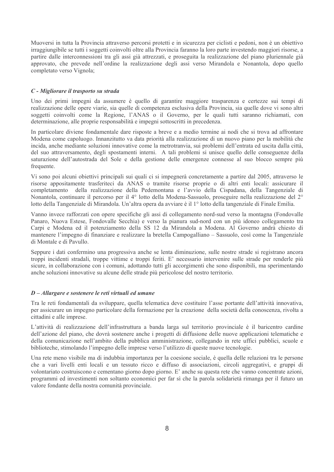Muoversi in tutta la Provincia attraverso percorsi protetti e in sicurezza per ciclisti e pedoni, non è un obiettivo irraggiungibile se tutti i soggetti coinvolti oltre alla Provincia faranno la loro parte investendo maggiori risorse, a partire dalle interconnessioni tra gli assi già attrezzati, e proseguita la realizzazione del piano pluriennale già approvato, che prevede nell'ordine la realizzazione degli assi verso Mirandola e Nonantola, dopo quello completato verso Vignola;

#### C - Migliorare il trasporto su strada

Uno dei primi impegni da assumere è quello di garantire maggiore trasparenza e certezze sui tempi di realizzazione delle opere viarie, sia quelle di competenza esclusiva della Provincia, sia quelle dove vi sono altri soggetti coinvolti come la Regione, l'ANAS o il Governo, per le quali tutti saranno richiamati, con determinazione, alle proprie responsabilità e impegni sottoscritti in precedenza.

In particolare diviene fondamentale dare risposte a breve e a medio termine ai nodi che si trova ad affrontare Modena come capoluogo. Innanzitutto va data priorità alla realizzazione di un nuovo piano per la mobilità che incida, anche mediante soluzioni innovative come la metrotranvia, sui problemi dell'entrata ed uscita dalla città, del suo attraversamento, degli spostamenti interni. A tali problemi si unisce quello delle conseguenze della saturazione dell'autostrada del Sole e della gestione delle emergenze connesse al suo blocco sempre più frequente.

Vi sono poi alcuni obiettivi principali sui quali ci si impegnerà concretamente a partire dal 2005, attraverso le risorse appositamente trasferiteci da ANAS o tramite risorse proprie o di altri enti locali: assicurare il completamento della realizzazione della Pedemontana e l'avvio della Cispadana, della Tangenziale di Nonantola, continuare il percorso per il 4<sup>°</sup> lotto della Modena-Sassuolo, proseguire nella realizzazione del 2<sup>°</sup> lotto della Tangenziale di Mirandola. Un'altra opera da avviare è il 1<sup>°</sup> lotto della tangenziale di Finale Emilia.

Vanno invece rafforzati con opere specifiche gli assi di collegamento nord-sud verso la montagna (Fondovalle Panaro, Nuova Estese, Fondovalle Secchia) e verso la pianura sud-nord con un più idoneo collegamento tra Carpi e Modena ed il potenziamento della SS 12 da Mirandola a Modena. Al Governo andrà chiesto di mantenere l'impegno di finanziare e realizzare la bretella Campogalliano - Sassuolo, così come la Tangenziale di Montale e di Pavullo.

Seppure i dati confermino una progressiva anche se lenta diminuzione, sulle nostre strade si registrano ancora troppi incidenti stradali, troppe vittime e troppi feriti. E' necessario intervenire sulle strade per renderle più sicure, in collaborazione con i comuni, adottando tutti gli accorgimenti che sono disponibili, ma sperimentando anche soluzioni innovative su alcune delle strade più pericolose del nostro territorio.

#### D-Allargare e sostenere le reti virtuali ed umane

Tra le reti fondamentali da sviluppare, quella telematica deve costituire l'asse portante dell'attività innovativa, per assicurare un impegno particolare della formazione per la creazione della società della conoscenza, rivolta a cittadini e alle imprese.

L'attività di realizzazione dell'infrastruttura a banda larga sul territorio provinciale è il baricentro cardine dell'azione del piano, che dovrà sostenere anche i progetti di diffusione delle nuove applicazioni telematiche e della comunicazione nell'ambito della pubblica amministrazione, collegando in rete uffici pubblici, scuole e biblioteche, stimolando l'impegno delle imprese verso l'utilizzo di queste nuove tecnologie.

Una rete meno visibile ma di indubbia importanza per la coesione sociale, è quella delle relazioni tra le persone che a vari livelli enti locali e un tessuto ricco e diffuso di associazioni, circoli aggregativi, e gruppi di volontariato costruiscono e cementano giorno dopo giorno. E' anche su questa rete che vanno concentrate azioni, programmi ed investimenti non soltanto economici per far sì che la parola solidarietà rimanga per il futuro un valore fondante della nostra comunità provinciale.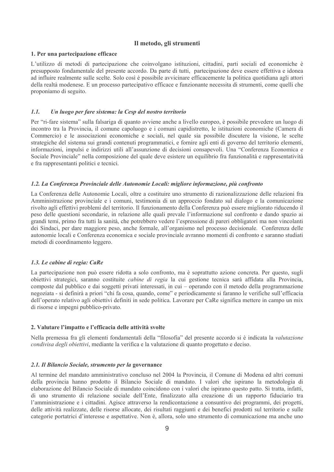#### Il metodo, gli strumenti

#### 1. Per una partecipazione efficace

L'utilizzo di metodi di partecipazione che coinvolgano istituzioni, cittadini, parti sociali ed economiche è presupposto fondamentale del presente accordo. Da parte di tutti, partecipazione deve essere effettiva e idonea ad influire realmente sulle scelte. Solo così è possibile avvicinare efficacemente la politica quotidiana agli attori della realtà modenese. E un processo partecipativo efficace e funzionante necessita di strumenti, come quelli che proponiamo di seguito.

#### $1.1.$ Un luogo per fare sistema: la Cesp del nostro territorio

Per "ri-fare sistema" sulla falsariga di quanto avviene anche a livello europeo, è possibile prevedere un luogo di incontro tra la Provincia, il comune capoluogo e i comuni capidistretto, le istituzioni economiche (Camera di Commercio) e le associazioni economiche e sociali, nel quale sia possibile discutere la visione, le scelte strategiche del sistema sui grandi contenuti programmatici, e fornire agli enti di governo del territorio elementi, informazioni, impulsi e indirizzi utili all'assunzione di decisioni consapevoli. Una "Conferenza Economica e Sociale Provinciale" nella composizione del quale deve esistere un equilibrio fra funzionalità e rappresentatività e fra rappresentanti politici e tecnici.

#### 1.2. La Conferenza Provinciale delle Autonomie Locali: migliore informazione, più confronto

La Conferenza delle Autonomie Locali, oltre a costituire uno strumento di razionalizzazione delle relazioni fra Amministrazione provinciale e i comuni, testimonia di un approccio fondato sul dialogo e la comunicazione rivolto agli effettivi problemi del territorio. Il funzionamento della Conferenza può essere migliorato riducendo il peso delle questioni secondarie, in relazione alle quali prevale l'informazione sul confronto e dando spazio ai grandi temi, primo fra tutti la sanità, che potrebbero vedere l'espressione di pareri obbligatori ma non vincolanti dei Sindaci, per dare maggiore peso, anche formale, all'organismo nel processo decisionale. Conferenza delle autonomie locali e Conferenza economica e sociale provinciale avranno momenti di confronto e saranno studiati metodi di coordinamento leggero.

#### 1.3. Le cabine di regia: CaRe

La partecipazione non può essere ridotta a solo confronto, ma è soprattutto azione concreta. Per questo, sugli obiettivi strategici, saranno costituite *cabine di regia* la cui gestione tecnica sarà affidata alla Provincia, composte dal pubblico e dai soggetti privati interessati, in cui – operando con il metodo della programmazione negoziata - si definirà a priori "chi fa cosa, quando, come" e periodicamente si faranno le verifiche sull'efficacia dell'operato relativo agli obiettivi definiti in sede politica. Lavorare per CaRe significa mettere in campo un mix di risorse e impegni pubblico-privato.

#### 2. Valutare l'impatto e l'efficacia delle attività svolte

Nella premessa fra gli elementi fondamentali della "filosofia" del presente accordo si è indicata la valutazione condivisa degli obiettivi, mediante la verifica e la valutazione di quanto progettato e deciso.

#### 2.1. Il Bilancio Sociale, strumento per la governance

Al termine del mandato amministrativo concluso nel 2004 la Provincia, il Comune di Modena ed altri comuni della provincia hanno prodotto il Bilancio Sociale di mandato. I valori che ispirano la metodologia di elaborazione del Bilancio Sociale di mandato coincidono con i valori che ispirano questo patto. Si tratta, infatti, di uno strumento di relazione sociale dell'Ente, finalizzato alla creazione di un rapporto fiduciario tra l'amministrazione e i cittadini. Agisce attraverso la rendicontazione a consuntivo dei programmi, dei progetti, delle attività realizzate, delle risorse allocate, dei risultati raggiunti e dei benefici prodotti sul territorio e sulle categorie portatrici d'interesse e aspettative. Non è, allora, solo uno strumento di comunicazione ma anche uno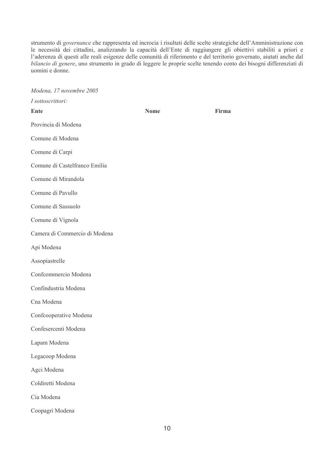strumento di governance che rappresenta ed incrocia i risultati delle scelte strategiche dell'Amministrazione con le necessità dei cittadini, analizzando la capacità dell'Ente di raggiungere gli obiettivi stabiliti a priori e<br>l'aderenza di questi alle reali esigenze delle comunità di riferimento e del territorio governato, aiutati anc uomini e donne.

| Modena, 17 novembre 2005      |             |       |
|-------------------------------|-------------|-------|
| I sottoscrittori:             |             |       |
| <b>Ente</b>                   | <b>Nome</b> | Firma |
| Provincia di Modena           |             |       |
| Comune di Modena              |             |       |
| Comune di Carpi               |             |       |
| Comune di Castelfranco Emilia |             |       |
| Comune di Mirandola           |             |       |
| Comune di Pavullo             |             |       |
| Comune di Sassuolo            |             |       |
| Comune di Vignola             |             |       |
| Camera di Commercio di Modena |             |       |
| Api Modena                    |             |       |
| Assopiastrelle                |             |       |
| Confcommercio Modena          |             |       |
| Confindustria Modena          |             |       |
| Cna Modena                    |             |       |
| Confcooperative Modena        |             |       |
| Confesercenti Modena          |             |       |
| Lapam Modena                  |             |       |
| Legacoop Modena               |             |       |
| Agci Modena                   |             |       |
| Coldiretti Modena             |             |       |
| Cia Modena                    |             |       |
| Coopagri Modena               |             |       |